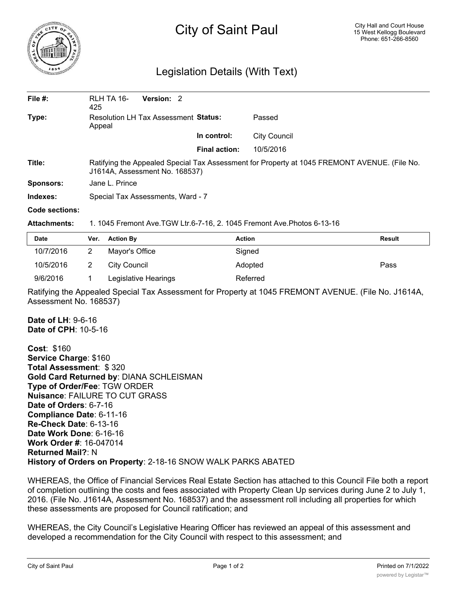

## City of Saint Paul

## Legislation Details (With Text)

| File $#$ :       | RLH TA 16-<br>425                                                                                                              | Version: 2 |                      |                     |  |  |  |
|------------------|--------------------------------------------------------------------------------------------------------------------------------|------------|----------------------|---------------------|--|--|--|
| Type:            | Resolution LH Tax Assessment Status:<br>Appeal                                                                                 |            |                      | Passed              |  |  |  |
|                  |                                                                                                                                |            | In control:          | <b>City Council</b> |  |  |  |
|                  |                                                                                                                                |            | <b>Final action:</b> | 10/5/2016           |  |  |  |
| Title:           | Ratifying the Appealed Special Tax Assessment for Property at 1045 FREMONT AVENUE. (File No.<br>J1614A, Assessment No. 168537) |            |                      |                     |  |  |  |
| <b>Sponsors:</b> | Jane L. Prince                                                                                                                 |            |                      |                     |  |  |  |
| Indexes:         | Special Tax Assessments, Ward - 7                                                                                              |            |                      |                     |  |  |  |

## **Code sections:**

## **Attachments:** 1. 1045 Fremont Ave.TGW Ltr.6-7-16, 2. 1045 Fremont Ave.Photos 6-13-16

| <b>Date</b> | Ver. | <b>Action By</b>     | <b>Action</b> | <b>Result</b> |
|-------------|------|----------------------|---------------|---------------|
| 10/7/2016   |      | Mayor's Office       | Signed        |               |
| 10/5/2016   |      | City Council         | Adopted       | Pass          |
| 9/6/2016    |      | Legislative Hearings | Referred      |               |

Ratifying the Appealed Special Tax Assessment for Property at 1045 FREMONT AVENUE. (File No. J1614A, Assessment No. 168537)

**Date of LH**: 9-6-16 **Date of CPH**: 10-5-16

**Cost**: \$160 **Service Charge**: \$160 **Total Assessment**: \$ 320 **Gold Card Returned by**: DIANA SCHLEISMAN **Type of Order/Fee**: TGW ORDER **Nuisance**: FAILURE TO CUT GRASS **Date of Orders**: 6-7-16 **Compliance Date**: 6-11-16 **Re-Check Date**: 6-13-16 **Date Work Done**: 6-16-16 **Work Order #**: 16-047014 **Returned Mail?**: N **History of Orders on Property**: 2-18-16 SNOW WALK PARKS ABATED

WHEREAS, the Office of Financial Services Real Estate Section has attached to this Council File both a report of completion outlining the costs and fees associated with Property Clean Up services during June 2 to July 1, 2016. (File No. J1614A, Assessment No. 168537) and the assessment roll including all properties for which these assessments are proposed for Council ratification; and

WHEREAS, the City Council's Legislative Hearing Officer has reviewed an appeal of this assessment and developed a recommendation for the City Council with respect to this assessment; and